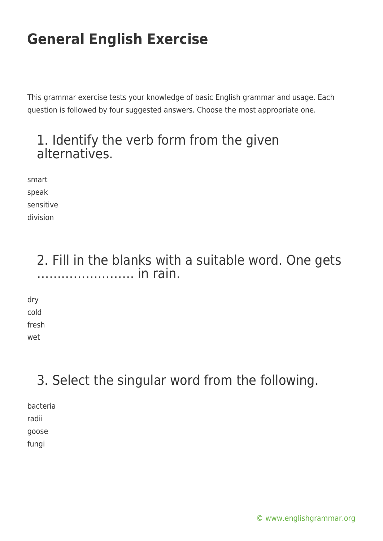This grammar exercise tests your knowledge of basic English grammar and usage. Each question is followed by four suggested answers. Choose the most appropriate one.

## 1. Identify the verb form from the given alternatives.

smart speak sensitive division

> 2. Fill in the blanks with a suitable word. One gets …………………… in rain.

dry cold fresh wet

## 3. Select the singular word from the following.

bacteria radii goose

fungi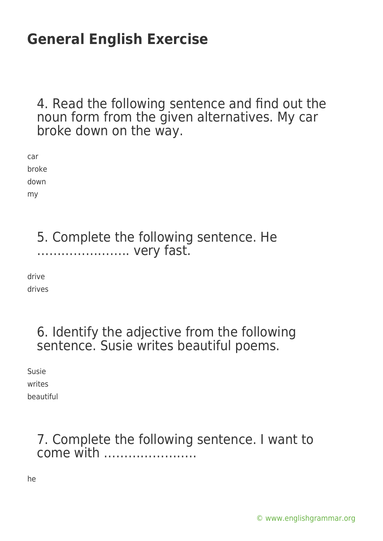4. Read the following sentence and find out the noun form from the given alternatives. My car broke down on the way.

car broke down my

> 5. Complete the following sentence. He ………………….. very fast.

drive drives

## 6. Identify the adjective from the following sentence. Susie writes beautiful poems.

Susie writes beautiful

## 7. Complete the following sentence. I want to come with …………………..

he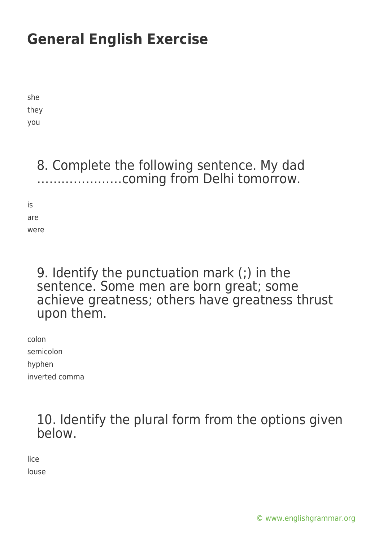she they you

> 8. Complete the following sentence. My dad …………………coming from Delhi tomorrow.

is are were

### 9. Identify the punctuation mark (;) in the sentence. Some men are born great; some achieve greatness; others have greatness thrust upon them.

colon semicolon hyphen inverted comma

> 10. Identify the plural form from the options given below.

lice louse